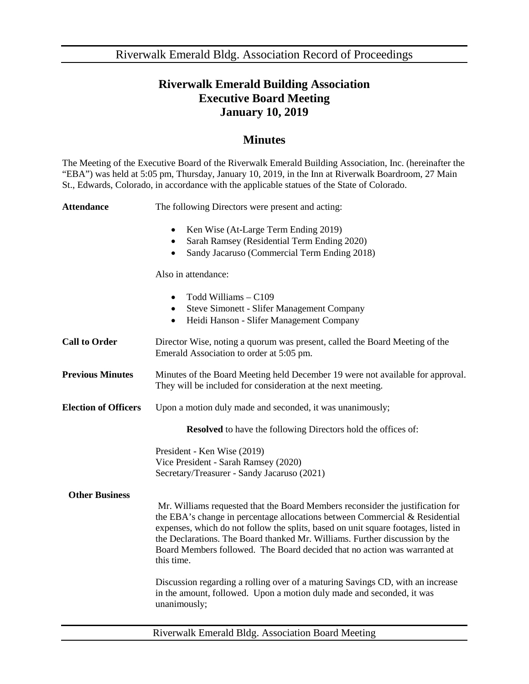Riverwalk Emerald Bldg. Association Record of Proceedings

## **Riverwalk Emerald Building Association Executive Board Meeting January 10, 2019**

## **Minutes**

The Meeting of the Executive Board of the Riverwalk Emerald Building Association, Inc. (hereinafter the "EBA") was held at 5:05 pm, Thursday, January 10, 2019, in the Inn at Riverwalk Boardroom, 27 Main St., Edwards, Colorado, in accordance with the applicable statues of the State of Colorado.

| <b>Attendance</b>           | The following Directors were present and acting:                                                                                                                                                                                                                                                                                                                                                                              |
|-----------------------------|-------------------------------------------------------------------------------------------------------------------------------------------------------------------------------------------------------------------------------------------------------------------------------------------------------------------------------------------------------------------------------------------------------------------------------|
|                             | Ken Wise (At-Large Term Ending 2019)<br>$\bullet$<br>Sarah Ramsey (Residential Term Ending 2020)<br>$\bullet$<br>Sandy Jacaruso (Commercial Term Ending 2018)<br>$\bullet$                                                                                                                                                                                                                                                    |
|                             | Also in attendance:                                                                                                                                                                                                                                                                                                                                                                                                           |
|                             | Todd Williams - C109<br>$\bullet$<br><b>Steve Simonett - Slifer Management Company</b><br>$\bullet$<br>Heidi Hanson - Slifer Management Company<br>$\bullet$                                                                                                                                                                                                                                                                  |
| <b>Call to Order</b>        | Director Wise, noting a quorum was present, called the Board Meeting of the<br>Emerald Association to order at 5:05 pm.                                                                                                                                                                                                                                                                                                       |
| <b>Previous Minutes</b>     | Minutes of the Board Meeting held December 19 were not available for approval.<br>They will be included for consideration at the next meeting.                                                                                                                                                                                                                                                                                |
| <b>Election of Officers</b> | Upon a motion duly made and seconded, it was unanimously;                                                                                                                                                                                                                                                                                                                                                                     |
|                             | <b>Resolved</b> to have the following Directors hold the offices of:                                                                                                                                                                                                                                                                                                                                                          |
|                             | President - Ken Wise (2019)<br>Vice President - Sarah Ramsey (2020)<br>Secretary/Treasurer - Sandy Jacaruso (2021)                                                                                                                                                                                                                                                                                                            |
| <b>Other Business</b>       | Mr. Williams requested that the Board Members reconsider the justification for<br>the EBA's change in percentage allocations between Commercial & Residential<br>expenses, which do not follow the splits, based on unit square footages, listed in<br>the Declarations. The Board thanked Mr. Williams. Further discussion by the<br>Board Members followed. The Board decided that no action was warranted at<br>this time. |
|                             | Discussion regarding a rolling over of a maturing Savings CD, with an increase<br>in the amount, followed. Upon a motion duly made and seconded, it was<br>unanimously;                                                                                                                                                                                                                                                       |

Riverwalk Emerald Bldg. Association Board Meeting